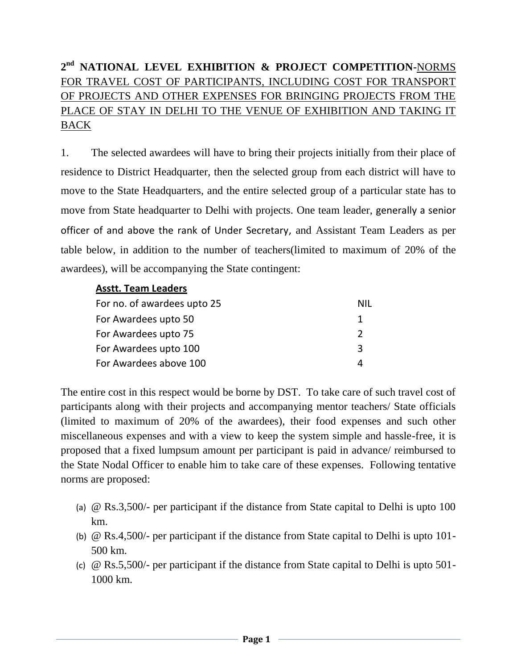## **2 nd NATIONAL LEVEL EXHIBITION & PROJECT COMPETITION-**NORMS FOR TRAVEL COST OF PARTICIPANTS, INCLUDING COST FOR TRANSPORT OF PROJECTS AND OTHER EXPENSES FOR BRINGING PROJECTS FROM THE PLACE OF STAY IN DELHI TO THE VENUE OF EXHIBITION AND TAKING IT BACK

1. The selected awardees will have to bring their projects initially from their place of residence to District Headquarter, then the selected group from each district will have to move to the State Headquarters, and the entire selected group of a particular state has to move from State headquarter to Delhi with projects. One team leader, generally a senior officer of and above the rank of Under Secretary, and Assistant Team Leaders as per table below, in addition to the number of teachers(limited to maximum of 20% of the awardees), will be accompanying the State contingent:

## **Asstt. Team Leaders**

| For no. of awardees upto 25 | NIL           |
|-----------------------------|---------------|
| For Awardees upto 50        |               |
| For Awardees upto 75        | $\mathcal{L}$ |
| For Awardees upto 100       | ર             |
| For Awardees above 100      |               |

The entire cost in this respect would be borne by DST. To take care of such travel cost of participants along with their projects and accompanying mentor teachers/ State officials (limited to maximum of 20% of the awardees), their food expenses and such other miscellaneous expenses and with a view to keep the system simple and hassle-free, it is proposed that a fixed lumpsum amount per participant is paid in advance/ reimbursed to the State Nodal Officer to enable him to take care of these expenses. Following tentative norms are proposed:

- (a) @ Rs.3,500/- per participant if the distance from State capital to Delhi is upto 100 km.
- (b) @ Rs.4,500/- per participant if the distance from State capital to Delhi is upto 101- 500 km.
- (c) @ Rs.5,500/- per participant if the distance from State capital to Delhi is upto 501- 1000 km.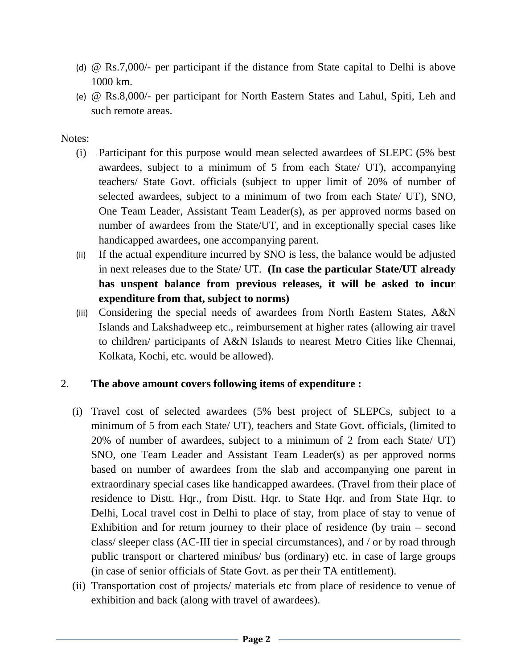- (d) @ Rs.7,000/- per participant if the distance from State capital to Delhi is above 1000 km.
- (e) @ Rs.8,000/- per participant for North Eastern States and Lahul, Spiti, Leh and such remote areas.

Notes:

- (i) Participant for this purpose would mean selected awardees of SLEPC (5% best awardees, subject to a minimum of 5 from each State/ UT), accompanying teachers/ State Govt. officials (subject to upper limit of 20% of number of selected awardees, subject to a minimum of two from each State/ UT), SNO, One Team Leader, Assistant Team Leader(s), as per approved norms based on number of awardees from the State/UT, and in exceptionally special cases like handicapped awardees, one accompanying parent.
- (ii) If the actual expenditure incurred by SNO is less, the balance would be adjusted in next releases due to the State/ UT. **(In case the particular State/UT already has unspent balance from previous releases, it will be asked to incur expenditure from that, subject to norms)**
- (iii) Considering the special needs of awardees from North Eastern States, A&N Islands and Lakshadweep etc., reimbursement at higher rates (allowing air travel to children/ participants of A&N Islands to nearest Metro Cities like Chennai, Kolkata, Kochi, etc. would be allowed).

## 2. **The above amount covers following items of expenditure :**

- (i) Travel cost of selected awardees (5% best project of SLEPCs, subject to a minimum of 5 from each State/ UT), teachers and State Govt. officials, (limited to 20% of number of awardees, subject to a minimum of 2 from each State/ UT) SNO, one Team Leader and Assistant Team Leader(s) as per approved norms based on number of awardees from the slab and accompanying one parent in extraordinary special cases like handicapped awardees. (Travel from their place of residence to Distt. Hqr., from Distt. Hqr. to State Hqr. and from State Hqr. to Delhi, Local travel cost in Delhi to place of stay, from place of stay to venue of Exhibition and for return journey to their place of residence (by train – second class/ sleeper class (AC-III tier in special circumstances), and / or by road through public transport or chartered minibus/ bus (ordinary) etc. in case of large groups (in case of senior officials of State Govt. as per their TA entitlement).
- (ii) Transportation cost of projects/ materials etc from place of residence to venue of exhibition and back (along with travel of awardees).